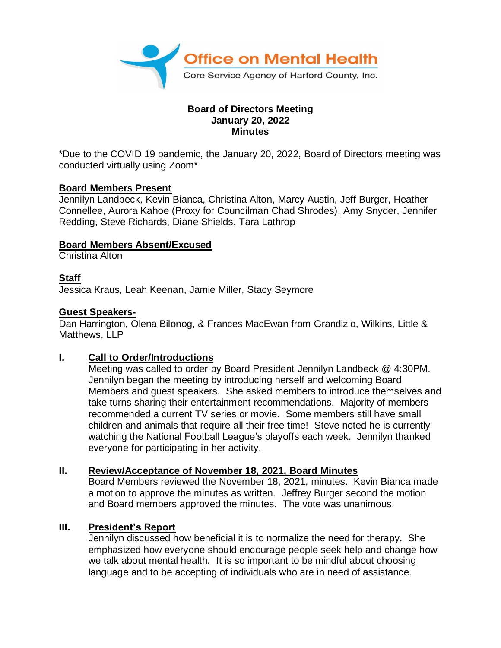

#### **Board of Directors Meeting January 20, 2022 Minutes**

\*Due to the COVID 19 pandemic, the January 20, 2022, Board of Directors meeting was conducted virtually using Zoom\*

#### **Board Members Present**

Jennilyn Landbeck, Kevin Bianca, Christina Alton, Marcy Austin, Jeff Burger, Heather Connellee, Aurora Kahoe (Proxy for Councilman Chad Shrodes), Amy Snyder, Jennifer Redding, Steve Richards, Diane Shields, Tara Lathrop

### **Board Members Absent/Excused**

Christina Alton

# **Staff**

Jessica Kraus, Leah Keenan, Jamie Miller, Stacy Seymore

#### **Guest Speakers-**

Dan Harrington, Olena Bilonog, & Frances MacEwan from Grandizio, Wilkins, Little & Matthews, LLP

# **I. Call to Order/Introductions**

Meeting was called to order by Board President Jennilyn Landbeck @ 4:30PM. Jennilyn began the meeting by introducing herself and welcoming Board Members and guest speakers. She asked members to introduce themselves and take turns sharing their entertainment recommendations. Majority of members recommended a current TV series or movie. Some members still have small children and animals that require all their free time! Steve noted he is currently watching the National Football League's playoffs each week. Jennilyn thanked everyone for participating in her activity.

#### **II. Review/Acceptance of November 18, 2021, Board Minutes**

Board Members reviewed the November 18, 2021, minutes. Kevin Bianca made a motion to approve the minutes as written. Jeffrey Burger second the motion and Board members approved the minutes. The vote was unanimous.

#### **III. President's Report**

Jennilyn discussed how beneficial it is to normalize the need for therapy. She emphasized how everyone should encourage people seek help and change how we talk about mental health. It is so important to be mindful about choosing language and to be accepting of individuals who are in need of assistance.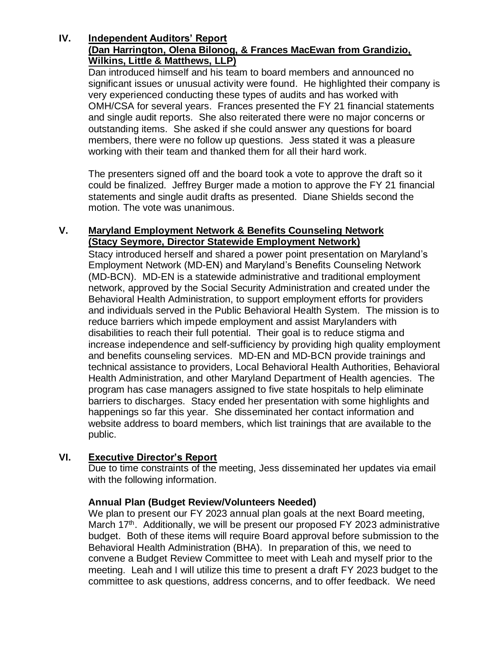#### **IV. Independent Auditors' Report (Dan Harrington, Olena Bilonog, & Frances MacEwan from Grandizio, Wilkins, Little & Matthews, LLP)**

Dan introduced himself and his team to board members and announced no significant issues or unusual activity were found. He highlighted their company is very experienced conducting these types of audits and has worked with OMH/CSA for several years. Frances presented the FY 21 financial statements and single audit reports. She also reiterated there were no major concerns or outstanding items. She asked if she could answer any questions for board members, there were no follow up questions. Jess stated it was a pleasure working with their team and thanked them for all their hard work.

The presenters signed off and the board took a vote to approve the draft so it could be finalized. Jeffrey Burger made a motion to approve the FY 21 financial statements and single audit drafts as presented. Diane Shields second the motion. The vote was unanimous.

# **V. Maryland Employment Network & Benefits Counseling Network (Stacy Seymore, Director Statewide Employment Network)**

Stacy introduced herself and shared a power point presentation on Maryland's Employment Network (MD-EN) and Maryland's Benefits Counseling Network (MD-BCN). MD-EN is a statewide administrative and traditional employment network, approved by the Social Security Administration and created under the Behavioral Health Administration, to support employment efforts for providers and individuals served in the Public Behavioral Health System. The mission is to reduce barriers which impede employment and assist Marylanders with disabilities to reach their full potential. Their goal is to reduce stigma and increase independence and self-sufficiency by providing high quality employment and benefits counseling services. MD-EN and MD-BCN provide trainings and technical assistance to providers, Local Behavioral Health Authorities, Behavioral Health Administration, and other Maryland Department of Health agencies. The program has case managers assigned to five state hospitals to help eliminate barriers to discharges. Stacy ended her presentation with some highlights and happenings so far this year. She disseminated her contact information and website address to board members, which list trainings that are available to the public.

# **VI. Executive Director's Report**

Due to time constraints of the meeting, Jess disseminated her updates via email with the following information.

# **Annual Plan (Budget Review/Volunteers Needed)**

We plan to present our FY 2023 annual plan goals at the next Board meeting, March 17<sup>th</sup>. Additionally, we will be present our proposed FY 2023 administrative budget. Both of these items will require Board approval before submission to the Behavioral Health Administration (BHA). In preparation of this, we need to convene a Budget Review Committee to meet with Leah and myself prior to the meeting. Leah and I will utilize this time to present a draft FY 2023 budget to the committee to ask questions, address concerns, and to offer feedback. We need